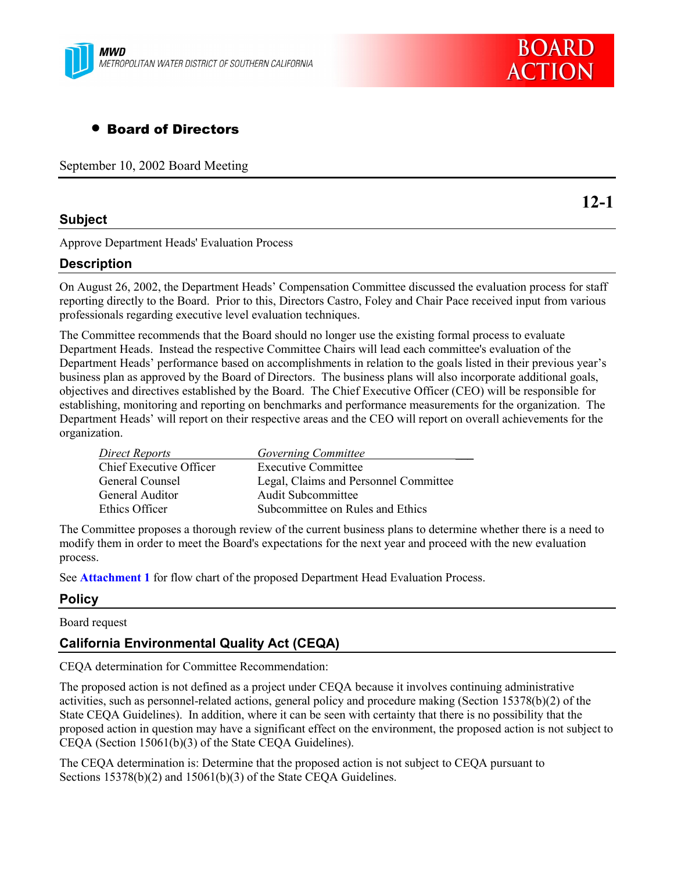



# • Board of Directors

September 10, 2002 Board Meeting

### **Subject**

**12-1**

Approve Department Heads' Evaluation Process

## **Description**

On August 26, 2002, the Department Heads<sup>†</sup> Compensation Committee discussed the evaluation process for staff reporting directly to the Board. Prior to this, Directors Castro, Foley and Chair Pace received input from various professionals regarding executive level evaluation techniques.

The Committee recommends that the Board should no longer use the existing formal process to evaluate Department Heads. Instead the respective Committee Chairs will lead each committee's evaluation of the Department Heads' performance based on accomplishments in relation to the goals listed in their previous year's business plan as approved by the Board of Directors. The business plans will also incorporate additional goals, objectives and directives established by the Board. The Chief Executive Officer (CEO) will be responsible for establishing, monitoring and reporting on benchmarks and performance measurements for the organization. The Department Heads' will report on their respective areas and the CEO will report on overall achievements for the organization.

| Direct Reports                 | Governing Committee                   |
|--------------------------------|---------------------------------------|
| <b>Chief Executive Officer</b> | <b>Executive Committee</b>            |
| General Counsel                | Legal, Claims and Personnel Committee |
| General Auditor                | <b>Audit Subcommittee</b>             |
| Ethics Officer                 | Subcommittee on Rules and Ethics      |

The Committee proposes a thorough review of the current business plans to determine whether there is a need to modify them in order to meet the Board's expectations for the next year and proceed with the new evaluation process.

See **Attachment 1** for flow chart of the proposed Department Head Evaluation Process.

### **Policy**

### Board request

## **California Environmental Quality Act (CEQA)**

CEQA determination for Committee Recommendation:

The proposed action is not defined as a project under CEQA because it involves continuing administrative activities, such as personnel-related actions, general policy and procedure making (Section 15378(b)(2) of the State CEQA Guidelines). In addition, where it can be seen with certainty that there is no possibility that the proposed action in question may have a significant effect on the environment, the proposed action is not subject to CEQA (Section 15061(b)(3) of the State CEQA Guidelines).

The CEQA determination is: Determine that the proposed action is not subject to CEQA pursuant to Sections 15378(b)(2) and 15061(b)(3) of the State CEQA Guidelines.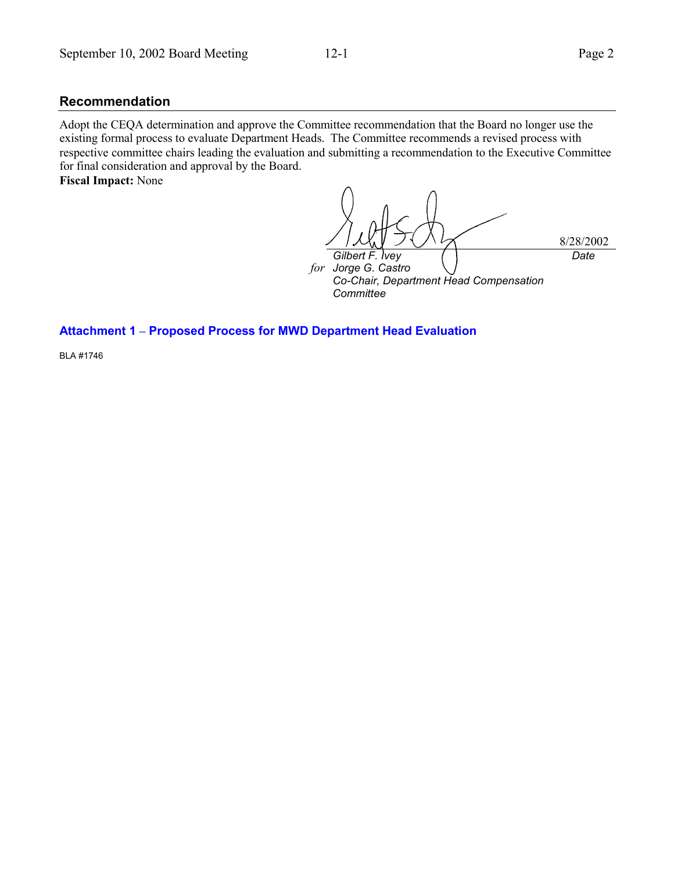### **Recommendation**

Adopt the CEQA determination and approve the Committee recommendation that the Board no longer use the existing formal process to evaluate Department Heads. The Committee recommends a revised process with respective committee chairs leading the evaluation and submitting a recommendation to the Executive Committee for final consideration and approval by the Board.

**Fiscal Impact:** None

8/28/2002 *Gilbert F. Ivey* for Jorge G. Castro *Co-Chair, Department Head Compensation Committee Date*

### **Attachment 1 ñ Proposed Process for MWD Department Head Evaluation**

BLA #1746